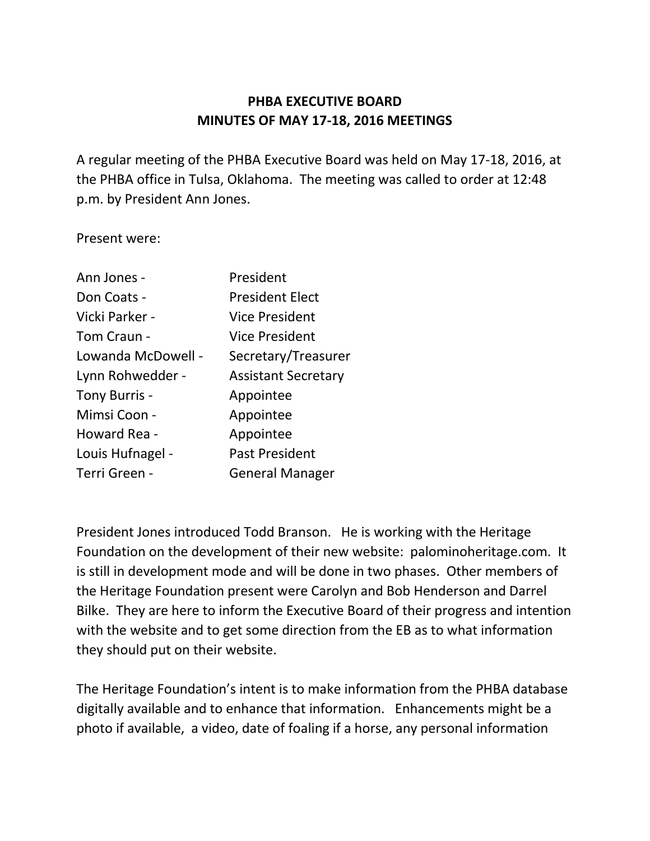# **PHBA EXECUTIVE BOARD MINUTES OF MAY 17-18, 2016 MEETINGS**

A regular meeting of the PHBA Executive Board was held on May 17-18, 2016, at the PHBA office in Tulsa, Oklahoma. The meeting was called to order at 12:48 p.m. by President Ann Jones.

Present were:

| Ann Jones -        | President                  |
|--------------------|----------------------------|
| Don Coats -        | <b>President Elect</b>     |
| Vicki Parker -     | <b>Vice President</b>      |
| Tom Craun -        | Vice President             |
| Lowanda McDowell - | Secretary/Treasurer        |
| Lynn Rohwedder -   | <b>Assistant Secretary</b> |
| Tony Burris -      | Appointee                  |
| Mimsi Coon -       | Appointee                  |
| Howard Rea -       | Appointee                  |
| Louis Hufnagel -   | <b>Past President</b>      |
| Terri Green -      | <b>General Manager</b>     |

President Jones introduced Todd Branson. He is working with the Heritage Foundation on the development of their new website: palominoheritage.com. It is still in development mode and will be done in two phases. Other members of the Heritage Foundation present were Carolyn and Bob Henderson and Darrel Bilke. They are here to inform the Executive Board of their progress and intention with the website and to get some direction from the EB as to what information they should put on their website.

The Heritage Foundation's intent is to make information from the PHBA database digitally available and to enhance that information. Enhancements might be a photo if available, a video, date of foaling if a horse, any personal information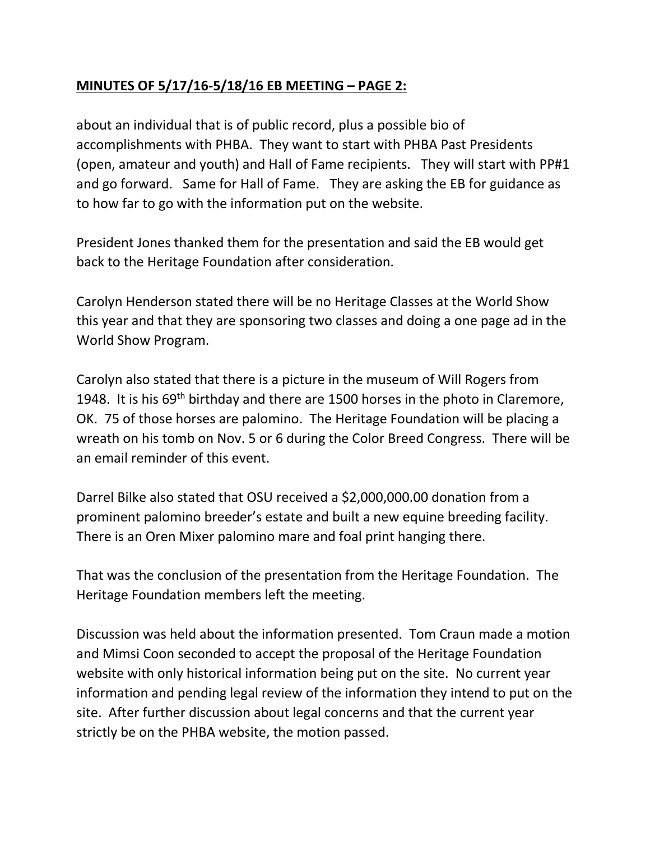# **MINUTES OF 5/17/16-5/18/16 EB MEETING – PAGE 2:**

about an individual that is of public record, plus a possible bio of accomplishments with PHBA. They want to start with PHBA Past Presidents (open, amateur and youth) and Hall of Fame recipients. They will start with PP#1 and go forward. Same for Hall of Fame. They are asking the EB for guidance as to how far to go with the information put on the website.

President Jones thanked them for the presentation and said the EB would get back to the Heritage Foundation after consideration.

Carolyn Henderson stated there will be no Heritage Classes at the World Show this year and that they are sponsoring two classes and doing a one page ad in the World Show Program.

Carolyn also stated that there is a picture in the museum of Will Rogers from 1948. It is his  $69<sup>th</sup>$  birthday and there are 1500 horses in the photo in Claremore, OK. 75 of those horses are palomino. The Heritage Foundation will be placing a wreath on his tomb on Nov. 5 or 6 during the Color Breed Congress. There will be an email reminder of this event.

Darrel Bilke also stated that OSU received a \$2,000,000.00 donation from a prominent palomino breeder's estate and built a new equine breeding facility. There is an Oren Mixer palomino mare and foal print hanging there.

That was the conclusion of the presentation from the Heritage Foundation. The Heritage Foundation members left the meeting.

Discussion was held about the information presented. Tom Craun made a motion and Mimsi Coon seconded to accept the proposal of the Heritage Foundation website with only historical information being put on the site. No current year information and pending legal review of the information they intend to put on the site. After further discussion about legal concerns and that the current year strictly be on the PHBA website, the motion passed.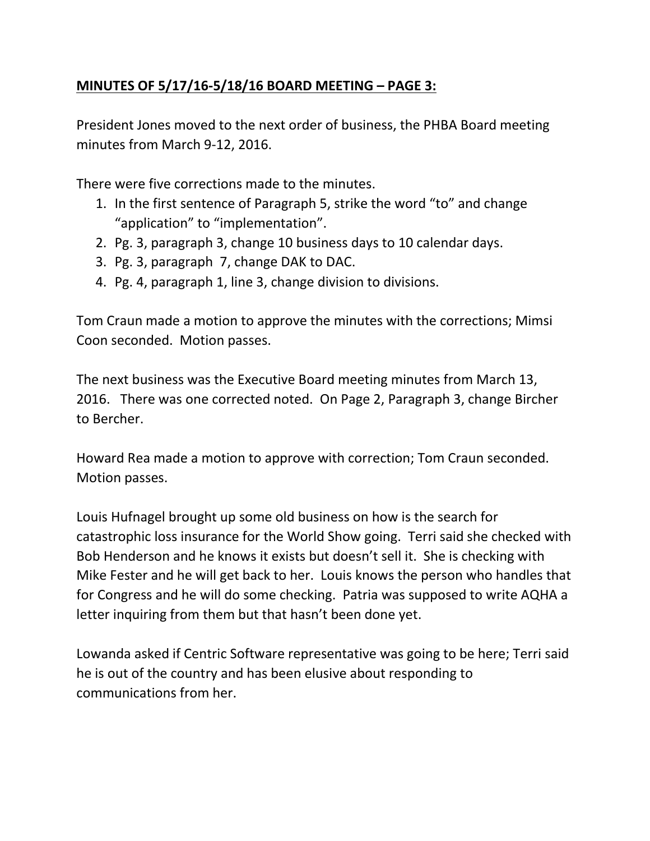# **MINUTES OF 5/17/16-5/18/16 BOARD MEETING – PAGE 3:**

President Jones moved to the next order of business, the PHBA Board meeting minutes from March 9-12, 2016.

There were five corrections made to the minutes.

- 1. In the first sentence of Paragraph 5, strike the word "to" and change "application" to "implementation".
- 2. Pg. 3, paragraph 3, change 10 business days to 10 calendar days.
- 3. Pg. 3, paragraph 7, change DAK to DAC.
- 4. Pg. 4, paragraph 1, line 3, change division to divisions.

Tom Craun made a motion to approve the minutes with the corrections; Mimsi Coon seconded. Motion passes.

The next business was the Executive Board meeting minutes from March 13, 2016. There was one corrected noted. On Page 2, Paragraph 3, change Bircher to Bercher.

Howard Rea made a motion to approve with correction; Tom Craun seconded. Motion passes.

Louis Hufnagel brought up some old business on how is the search for catastrophic loss insurance for the World Show going. Terri said she checked with Bob Henderson and he knows it exists but doesn't sell it. She is checking with Mike Fester and he will get back to her. Louis knows the person who handles that for Congress and he will do some checking. Patria was supposed to write AQHA a letter inquiring from them but that hasn't been done yet.

Lowanda asked if Centric Software representative was going to be here; Terri said he is out of the country and has been elusive about responding to communications from her.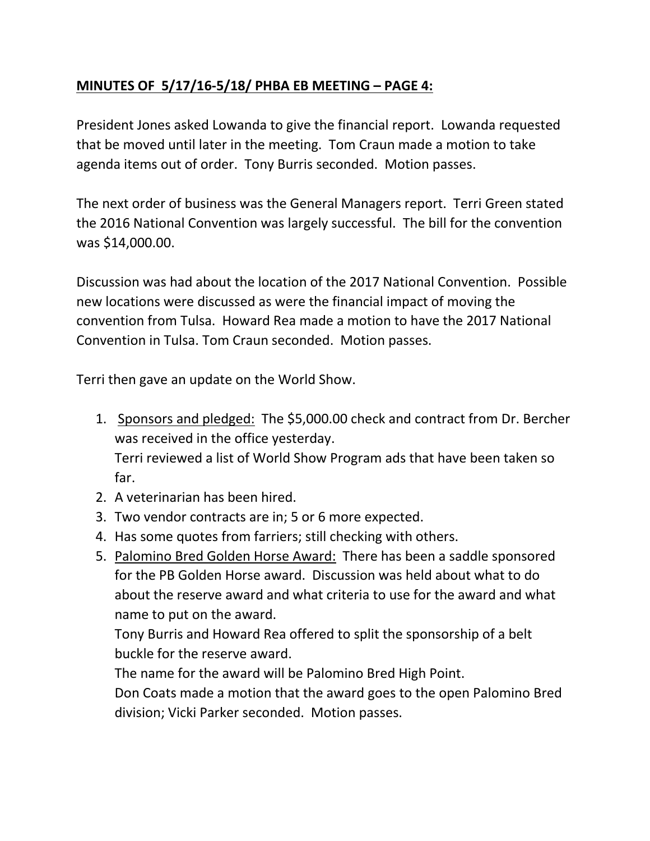# **MINUTES OF 5/17/16-5/18/ PHBA EB MEETING – PAGE 4:**

President Jones asked Lowanda to give the financial report. Lowanda requested that be moved until later in the meeting. Tom Craun made a motion to take agenda items out of order. Tony Burris seconded. Motion passes.

The next order of business was the General Managers report. Terri Green stated the 2016 National Convention was largely successful. The bill for the convention was \$14,000.00.

Discussion was had about the location of the 2017 National Convention. Possible new locations were discussed as were the financial impact of moving the convention from Tulsa. Howard Rea made a motion to have the 2017 National Convention in Tulsa. Tom Craun seconded. Motion passes.

Terri then gave an update on the World Show.

1. Sponsors and pledged: The \$5,000.00 check and contract from Dr. Bercher was received in the office yesterday.

Terri reviewed a list of World Show Program ads that have been taken so far.

- 2. A veterinarian has been hired.
- 3. Two vendor contracts are in; 5 or 6 more expected.
- 4. Has some quotes from farriers; still checking with others.
- 5. Palomino Bred Golden Horse Award: There has been a saddle sponsored for the PB Golden Horse award. Discussion was held about what to do about the reserve award and what criteria to use for the award and what name to put on the award.

Tony Burris and Howard Rea offered to split the sponsorship of a belt buckle for the reserve award.

The name for the award will be Palomino Bred High Point.

Don Coats made a motion that the award goes to the open Palomino Bred division; Vicki Parker seconded. Motion passes.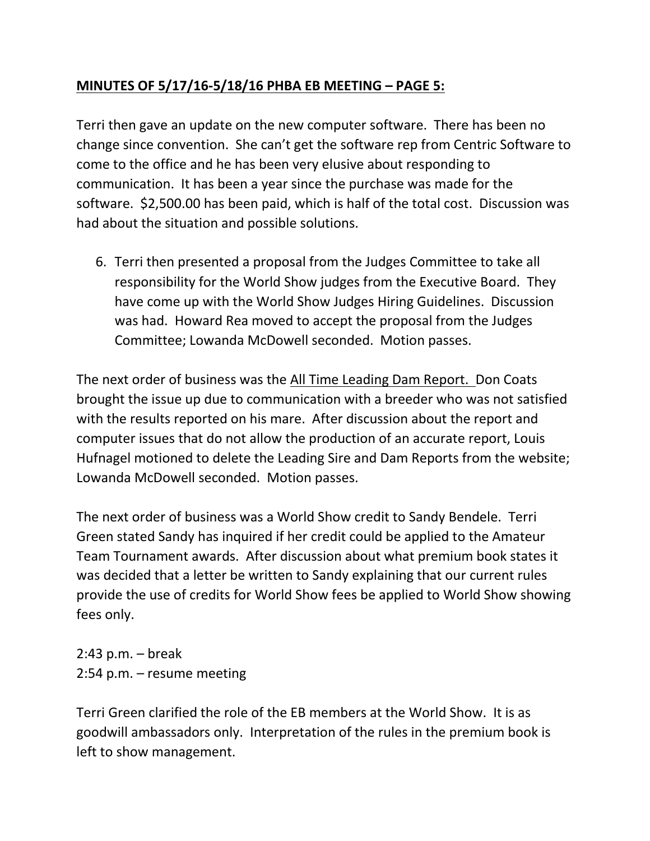# **MINUTES OF 5/17/16-5/18/16 PHBA EB MEETING – PAGE 5:**

Terri then gave an update on the new computer software. There has been no change since convention. She can't get the software rep from Centric Software to come to the office and he has been very elusive about responding to communication. It has been a year since the purchase was made for the software. \$2,500.00 has been paid, which is half of the total cost. Discussion was had about the situation and possible solutions.

6. Terri then presented a proposal from the Judges Committee to take all responsibility for the World Show judges from the Executive Board. They have come up with the World Show Judges Hiring Guidelines. Discussion was had. Howard Rea moved to accept the proposal from the Judges Committee; Lowanda McDowell seconded. Motion passes.

The next order of business was the All Time Leading Dam Report. Don Coats brought the issue up due to communication with a breeder who was not satisfied with the results reported on his mare. After discussion about the report and computer issues that do not allow the production of an accurate report, Louis Hufnagel motioned to delete the Leading Sire and Dam Reports from the website; Lowanda McDowell seconded. Motion passes.

The next order of business was a World Show credit to Sandy Bendele. Terri Green stated Sandy has inquired if her credit could be applied to the Amateur Team Tournament awards. After discussion about what premium book states it was decided that a letter be written to Sandy explaining that our current rules provide the use of credits for World Show fees be applied to World Show showing fees only.

2:43 p.m. – break 2:54 p.m. – resume meeting

Terri Green clarified the role of the EB members at the World Show. It is as goodwill ambassadors only. Interpretation of the rules in the premium book is left to show management.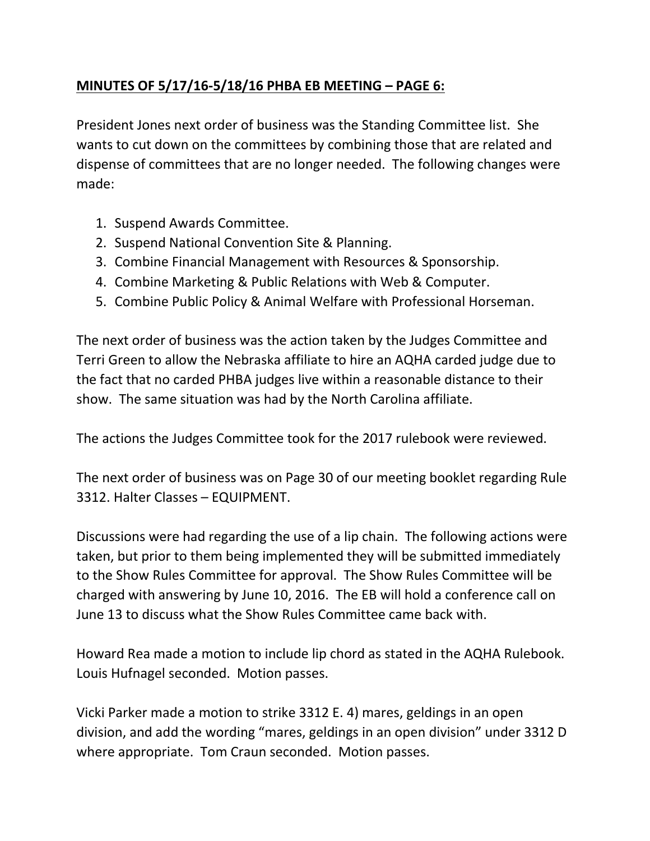# **MINUTES OF 5/17/16-5/18/16 PHBA EB MEETING – PAGE 6:**

President Jones next order of business was the Standing Committee list. She wants to cut down on the committees by combining those that are related and dispense of committees that are no longer needed. The following changes were made:

- 1. Suspend Awards Committee.
- 2. Suspend National Convention Site & Planning.
- 3. Combine Financial Management with Resources & Sponsorship.
- 4. Combine Marketing & Public Relations with Web & Computer.
- 5. Combine Public Policy & Animal Welfare with Professional Horseman.

The next order of business was the action taken by the Judges Committee and Terri Green to allow the Nebraska affiliate to hire an AQHA carded judge due to the fact that no carded PHBA judges live within a reasonable distance to their show. The same situation was had by the North Carolina affiliate.

The actions the Judges Committee took for the 2017 rulebook were reviewed.

The next order of business was on Page 30 of our meeting booklet regarding Rule 3312. Halter Classes – EQUIPMENT.

Discussions were had regarding the use of a lip chain. The following actions were taken, but prior to them being implemented they will be submitted immediately to the Show Rules Committee for approval. The Show Rules Committee will be charged with answering by June 10, 2016. The EB will hold a conference call on June 13 to discuss what the Show Rules Committee came back with.

Howard Rea made a motion to include lip chord as stated in the AQHA Rulebook. Louis Hufnagel seconded. Motion passes.

Vicki Parker made a motion to strike 3312 E. 4) mares, geldings in an open division, and add the wording "mares, geldings in an open division" under 3312 D where appropriate. Tom Craun seconded. Motion passes.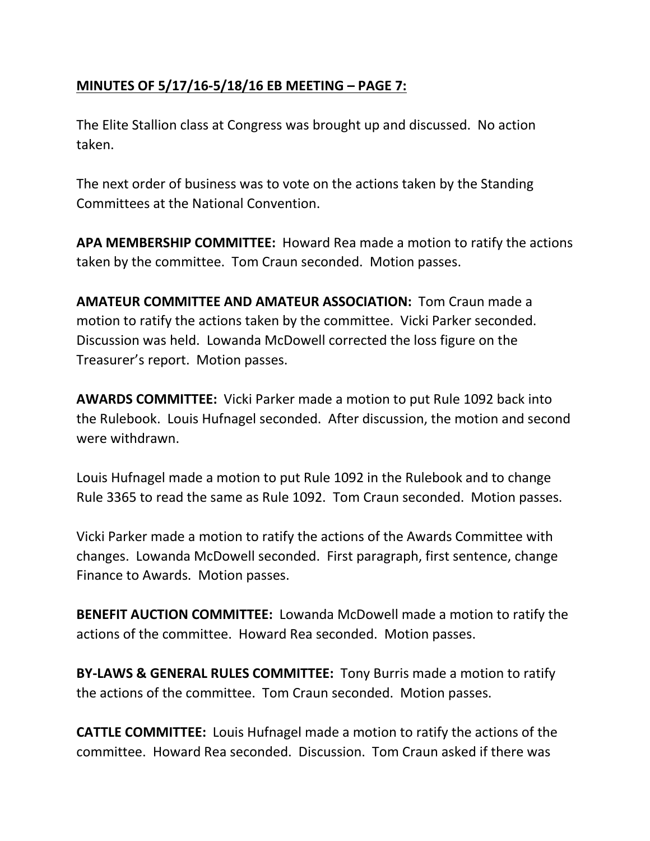# **MINUTES OF 5/17/16-5/18/16 EB MEETING – PAGE 7:**

The Elite Stallion class at Congress was brought up and discussed. No action taken.

The next order of business was to vote on the actions taken by the Standing Committees at the National Convention.

**APA MEMBERSHIP COMMITTEE:** Howard Rea made a motion to ratify the actions taken by the committee. Tom Craun seconded. Motion passes.

**AMATEUR COMMITTEE AND AMATEUR ASSOCIATION:** Tom Craun made a motion to ratify the actions taken by the committee. Vicki Parker seconded. Discussion was held. Lowanda McDowell corrected the loss figure on the Treasurer's report. Motion passes.

**AWARDS COMMITTEE:** Vicki Parker made a motion to put Rule 1092 back into the Rulebook. Louis Hufnagel seconded. After discussion, the motion and second were withdrawn.

Louis Hufnagel made a motion to put Rule 1092 in the Rulebook and to change Rule 3365 to read the same as Rule 1092. Tom Craun seconded. Motion passes.

Vicki Parker made a motion to ratify the actions of the Awards Committee with changes. Lowanda McDowell seconded. First paragraph, first sentence, change Finance to Awards. Motion passes.

**BENEFIT AUCTION COMMITTEE:** Lowanda McDowell made a motion to ratify the actions of the committee. Howard Rea seconded. Motion passes.

**BY-LAWS & GENERAL RULES COMMITTEE:** Tony Burris made a motion to ratify the actions of the committee. Tom Craun seconded. Motion passes.

**CATTLE COMMITTEE:** Louis Hufnagel made a motion to ratify the actions of the committee. Howard Rea seconded. Discussion. Tom Craun asked if there was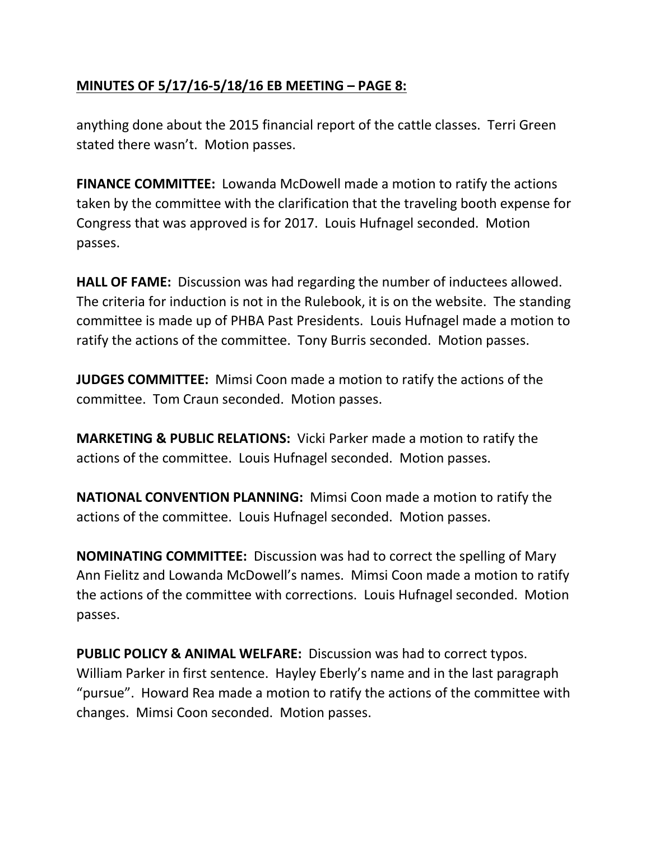## **MINUTES OF 5/17/16-5/18/16 EB MEETING – PAGE 8:**

anything done about the 2015 financial report of the cattle classes. Terri Green stated there wasn't. Motion passes.

**FINANCE COMMITTEE:** Lowanda McDowell made a motion to ratify the actions taken by the committee with the clarification that the traveling booth expense for Congress that was approved is for 2017. Louis Hufnagel seconded. Motion passes.

**HALL OF FAME:** Discussion was had regarding the number of inductees allowed. The criteria for induction is not in the Rulebook, it is on the website. The standing committee is made up of PHBA Past Presidents. Louis Hufnagel made a motion to ratify the actions of the committee. Tony Burris seconded. Motion passes.

**JUDGES COMMITTEE:** Mimsi Coon made a motion to ratify the actions of the committee. Tom Craun seconded. Motion passes.

**MARKETING & PUBLIC RELATIONS:** Vicki Parker made a motion to ratify the actions of the committee. Louis Hufnagel seconded. Motion passes.

**NATIONAL CONVENTION PLANNING:** Mimsi Coon made a motion to ratify the actions of the committee. Louis Hufnagel seconded. Motion passes.

**NOMINATING COMMITTEE:** Discussion was had to correct the spelling of Mary Ann Fielitz and Lowanda McDowell's names. Mimsi Coon made a motion to ratify the actions of the committee with corrections. Louis Hufnagel seconded. Motion passes.

**PUBLIC POLICY & ANIMAL WELFARE:** Discussion was had to correct typos. William Parker in first sentence. Hayley Eberly's name and in the last paragraph "pursue". Howard Rea made a motion to ratify the actions of the committee with changes. Mimsi Coon seconded. Motion passes.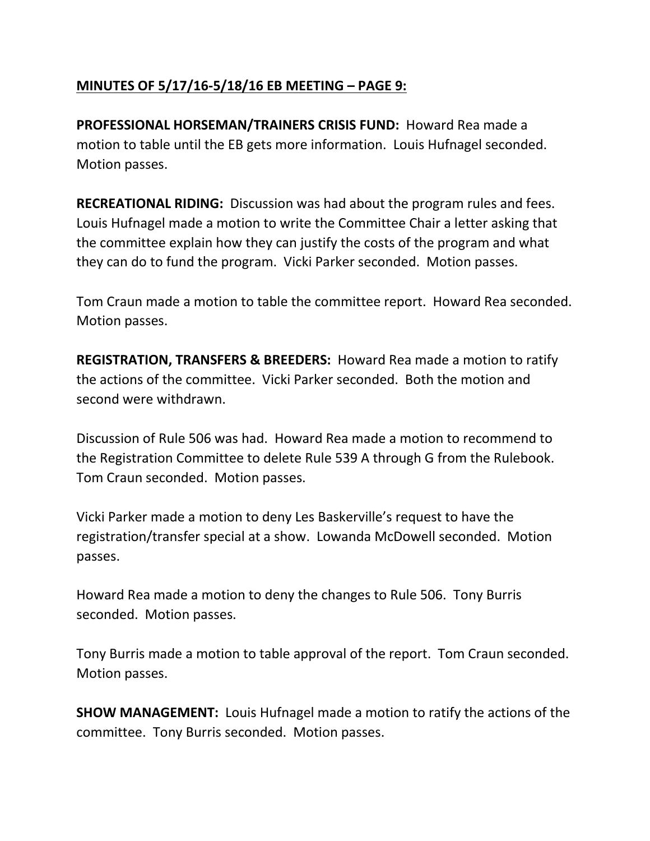# **MINUTES OF 5/17/16-5/18/16 EB MEETING – PAGE 9:**

**PROFESSIONAL HORSEMAN/TRAINERS CRISIS FUND:** Howard Rea made a motion to table until the EB gets more information. Louis Hufnagel seconded. Motion passes.

**RECREATIONAL RIDING:** Discussion was had about the program rules and fees. Louis Hufnagel made a motion to write the Committee Chair a letter asking that the committee explain how they can justify the costs of the program and what they can do to fund the program. Vicki Parker seconded. Motion passes.

Tom Craun made a motion to table the committee report. Howard Rea seconded. Motion passes.

**REGISTRATION, TRANSFERS & BREEDERS:** Howard Rea made a motion to ratify the actions of the committee. Vicki Parker seconded. Both the motion and second were withdrawn.

Discussion of Rule 506 was had. Howard Rea made a motion to recommend to the Registration Committee to delete Rule 539 A through G from the Rulebook. Tom Craun seconded. Motion passes.

Vicki Parker made a motion to deny Les Baskerville's request to have the registration/transfer special at a show. Lowanda McDowell seconded. Motion passes.

Howard Rea made a motion to deny the changes to Rule 506. Tony Burris seconded. Motion passes.

Tony Burris made a motion to table approval of the report. Tom Craun seconded. Motion passes.

**SHOW MANAGEMENT:** Louis Hufnagel made a motion to ratify the actions of the committee. Tony Burris seconded. Motion passes.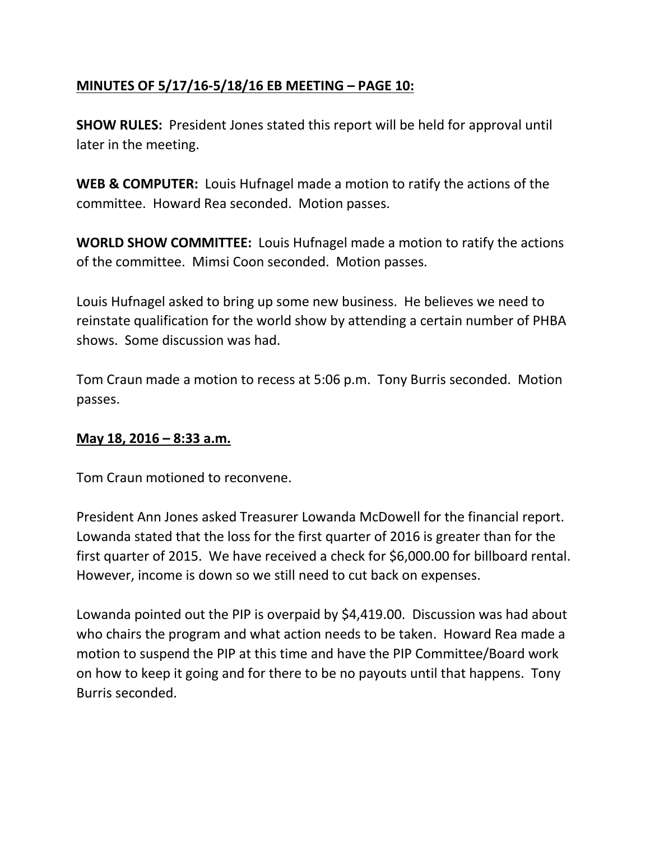# **MINUTES OF 5/17/16-5/18/16 EB MEETING – PAGE 10:**

**SHOW RULES:** President Jones stated this report will be held for approval until later in the meeting.

**WEB & COMPUTER:** Louis Hufnagel made a motion to ratify the actions of the committee. Howard Rea seconded. Motion passes.

**WORLD SHOW COMMITTEE:** Louis Hufnagel made a motion to ratify the actions of the committee. Mimsi Coon seconded. Motion passes.

Louis Hufnagel asked to bring up some new business. He believes we need to reinstate qualification for the world show by attending a certain number of PHBA shows. Some discussion was had.

Tom Craun made a motion to recess at 5:06 p.m. Tony Burris seconded. Motion passes.

#### **May 18, 2016 – 8:33 a.m.**

Tom Craun motioned to reconvene.

President Ann Jones asked Treasurer Lowanda McDowell for the financial report. Lowanda stated that the loss for the first quarter of 2016 is greater than for the first quarter of 2015. We have received a check for \$6,000.00 for billboard rental. However, income is down so we still need to cut back on expenses.

Lowanda pointed out the PIP is overpaid by \$4,419.00. Discussion was had about who chairs the program and what action needs to be taken. Howard Rea made a motion to suspend the PIP at this time and have the PIP Committee/Board work on how to keep it going and for there to be no payouts until that happens. Tony Burris seconded.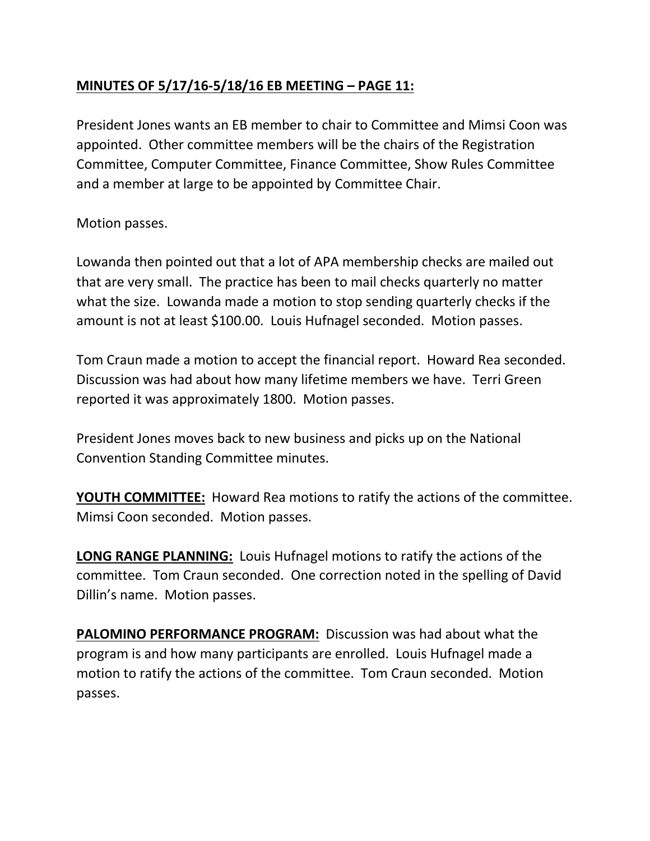# **MINUTES OF 5/17/16-5/18/16 EB MEETING – PAGE 11:**

President Jones wants an EB member to chair to Committee and Mimsi Coon was appointed. Other committee members will be the chairs of the Registration Committee, Computer Committee, Finance Committee, Show Rules Committee and a member at large to be appointed by Committee Chair.

Motion passes.

Lowanda then pointed out that a lot of APA membership checks are mailed out that are very small. The practice has been to mail checks quarterly no matter what the size. Lowanda made a motion to stop sending quarterly checks if the amount is not at least \$100.00. Louis Hufnagel seconded. Motion passes.

Tom Craun made a motion to accept the financial report. Howard Rea seconded. Discussion was had about how many lifetime members we have. Terri Green reported it was approximately 1800. Motion passes.

President Jones moves back to new business and picks up on the National Convention Standing Committee minutes.

**YOUTH COMMITTEE:** Howard Rea motions to ratify the actions of the committee. Mimsi Coon seconded. Motion passes.

**LONG RANGE PLANNING:** Louis Hufnagel motions to ratify the actions of the committee. Tom Craun seconded. One correction noted in the spelling of David Dillin's name. Motion passes.

**PALOMINO PERFORMANCE PROGRAM:** Discussion was had about what the program is and how many participants are enrolled. Louis Hufnagel made a motion to ratify the actions of the committee. Tom Craun seconded. Motion passes.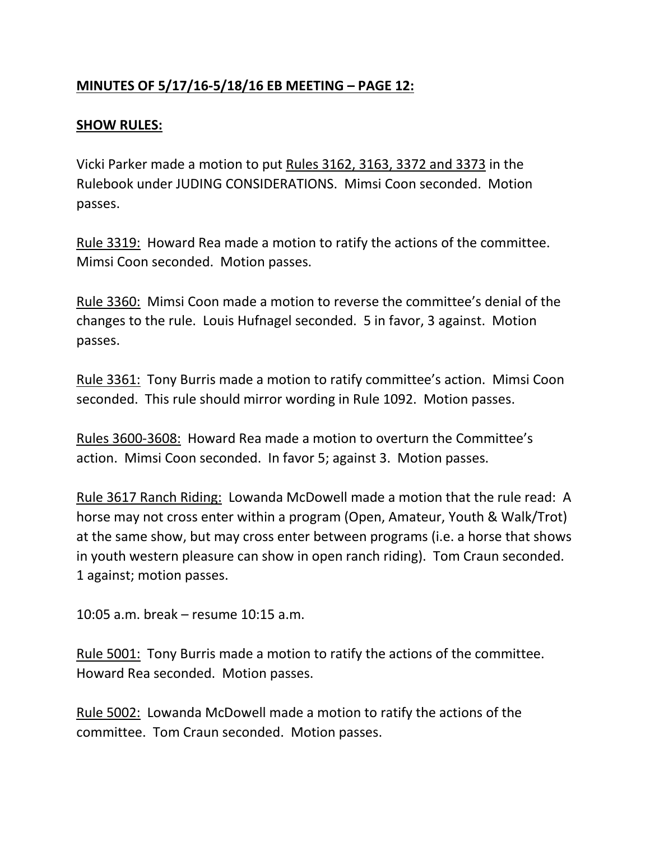# **MINUTES OF 5/17/16-5/18/16 EB MEETING – PAGE 12:**

### **SHOW RULES:**

Vicki Parker made a motion to put Rules 3162, 3163, 3372 and 3373 in the Rulebook under JUDING CONSIDERATIONS. Mimsi Coon seconded. Motion passes.

Rule 3319: Howard Rea made a motion to ratify the actions of the committee. Mimsi Coon seconded. Motion passes.

Rule 3360: Mimsi Coon made a motion to reverse the committee's denial of the changes to the rule. Louis Hufnagel seconded. 5 in favor, 3 against. Motion passes.

Rule 3361: Tony Burris made a motion to ratify committee's action. Mimsi Coon seconded. This rule should mirror wording in Rule 1092. Motion passes.

Rules 3600-3608: Howard Rea made a motion to overturn the Committee's action. Mimsi Coon seconded. In favor 5; against 3. Motion passes.

Rule 3617 Ranch Riding: Lowanda McDowell made a motion that the rule read: A horse may not cross enter within a program (Open, Amateur, Youth & Walk/Trot) at the same show, but may cross enter between programs (i.e. a horse that shows in youth western pleasure can show in open ranch riding). Tom Craun seconded. 1 against; motion passes.

10:05 a.m. break – resume 10:15 a.m.

Rule 5001: Tony Burris made a motion to ratify the actions of the committee. Howard Rea seconded. Motion passes.

Rule 5002: Lowanda McDowell made a motion to ratify the actions of the committee. Tom Craun seconded. Motion passes.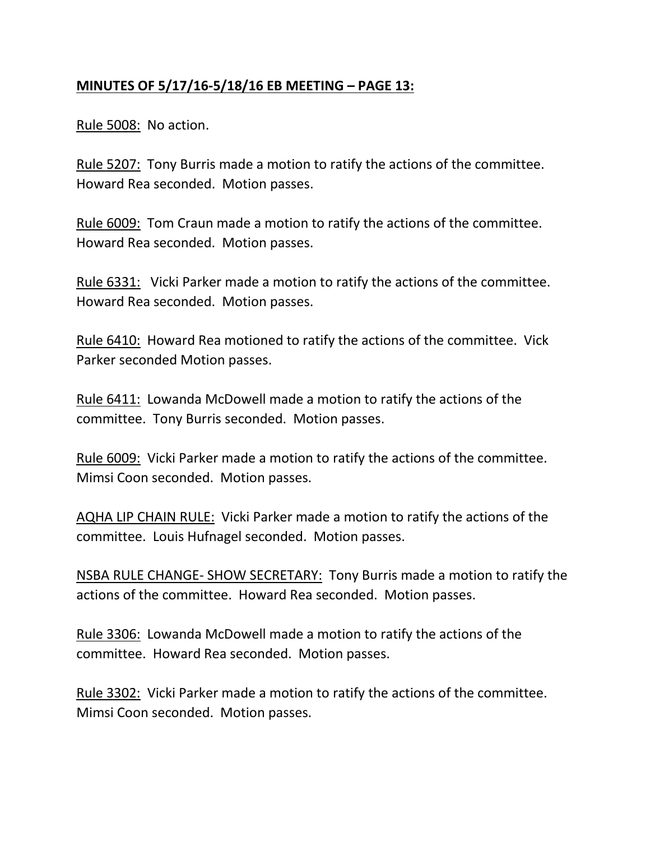### **MINUTES OF 5/17/16-5/18/16 EB MEETING – PAGE 13:**

Rule 5008: No action.

Rule 5207: Tony Burris made a motion to ratify the actions of the committee. Howard Rea seconded. Motion passes.

Rule 6009: Tom Craun made a motion to ratify the actions of the committee. Howard Rea seconded. Motion passes.

Rule 6331: Vicki Parker made a motion to ratify the actions of the committee. Howard Rea seconded. Motion passes.

Rule 6410: Howard Rea motioned to ratify the actions of the committee. Vick Parker seconded Motion passes.

Rule 6411: Lowanda McDowell made a motion to ratify the actions of the committee. Tony Burris seconded. Motion passes.

Rule 6009: Vicki Parker made a motion to ratify the actions of the committee. Mimsi Coon seconded. Motion passes.

AQHA LIP CHAIN RULE: Vicki Parker made a motion to ratify the actions of the committee. Louis Hufnagel seconded. Motion passes.

NSBA RULE CHANGE- SHOW SECRETARY: Tony Burris made a motion to ratify the actions of the committee. Howard Rea seconded. Motion passes.

Rule 3306: Lowanda McDowell made a motion to ratify the actions of the committee. Howard Rea seconded. Motion passes.

Rule 3302: Vicki Parker made a motion to ratify the actions of the committee. Mimsi Coon seconded. Motion passes.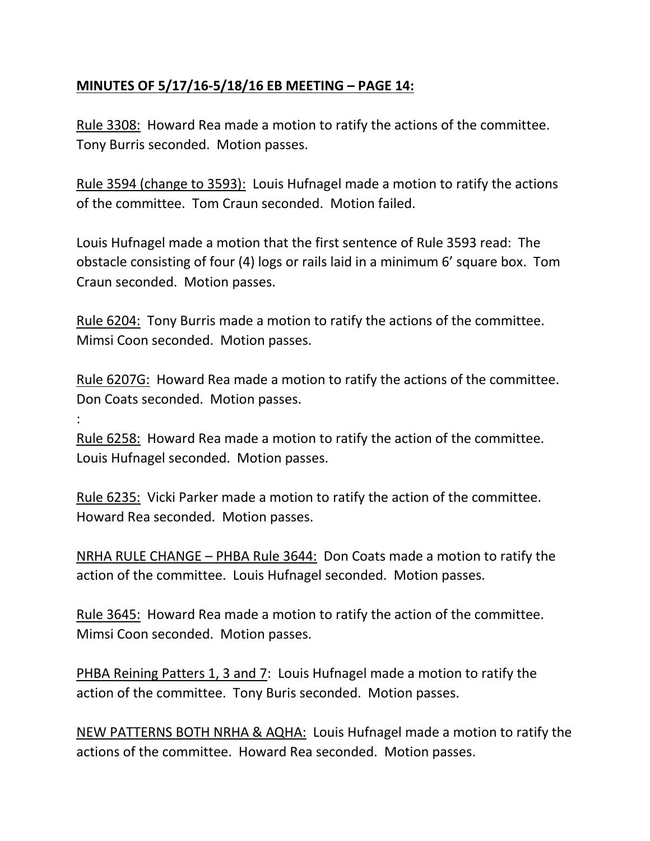## **MINUTES OF 5/17/16-5/18/16 EB MEETING – PAGE 14:**

Rule 3308: Howard Rea made a motion to ratify the actions of the committee. Tony Burris seconded. Motion passes.

Rule 3594 (change to 3593): Louis Hufnagel made a motion to ratify the actions of the committee. Tom Craun seconded. Motion failed.

Louis Hufnagel made a motion that the first sentence of Rule 3593 read: The obstacle consisting of four (4) logs or rails laid in a minimum 6' square box. Tom Craun seconded. Motion passes.

Rule 6204: Tony Burris made a motion to ratify the actions of the committee. Mimsi Coon seconded. Motion passes.

Rule 6207G: Howard Rea made a motion to ratify the actions of the committee. Don Coats seconded. Motion passes.

:

Rule 6258: Howard Rea made a motion to ratify the action of the committee. Louis Hufnagel seconded. Motion passes.

Rule 6235: Vicki Parker made a motion to ratify the action of the committee. Howard Rea seconded. Motion passes.

NRHA RULE CHANGE – PHBA Rule 3644: Don Coats made a motion to ratify the action of the committee. Louis Hufnagel seconded. Motion passes.

Rule 3645: Howard Rea made a motion to ratify the action of the committee. Mimsi Coon seconded. Motion passes.

PHBA Reining Patters 1, 3 and 7: Louis Hufnagel made a motion to ratify the action of the committee. Tony Buris seconded. Motion passes.

NEW PATTERNS BOTH NRHA & AQHA: Louis Hufnagel made a motion to ratify the actions of the committee. Howard Rea seconded. Motion passes.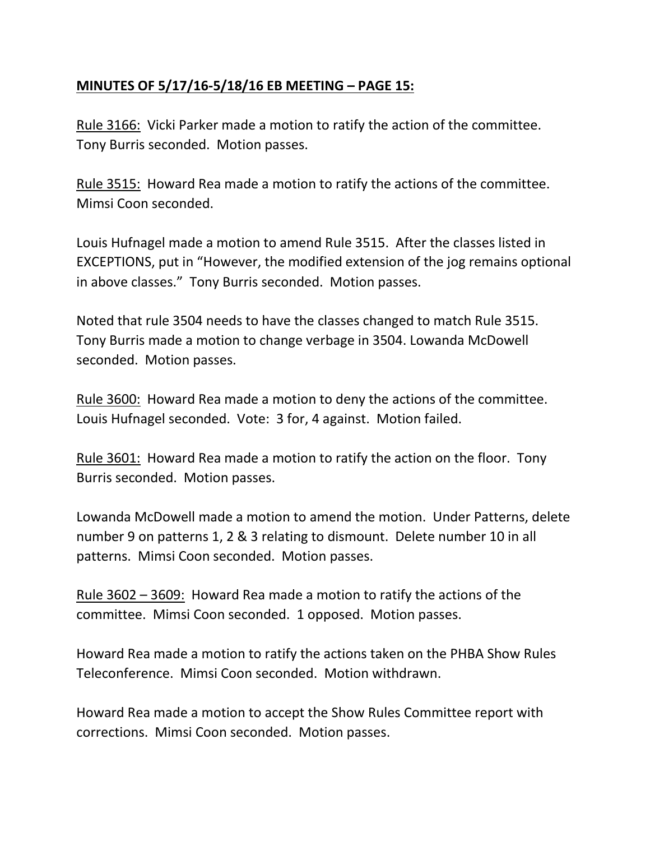### **MINUTES OF 5/17/16-5/18/16 EB MEETING – PAGE 15:**

Rule 3166: Vicki Parker made a motion to ratify the action of the committee. Tony Burris seconded. Motion passes.

Rule 3515: Howard Rea made a motion to ratify the actions of the committee. Mimsi Coon seconded.

Louis Hufnagel made a motion to amend Rule 3515. After the classes listed in EXCEPTIONS, put in "However, the modified extension of the jog remains optional in above classes." Tony Burris seconded. Motion passes.

Noted that rule 3504 needs to have the classes changed to match Rule 3515. Tony Burris made a motion to change verbage in 3504. Lowanda McDowell seconded. Motion passes.

Rule 3600: Howard Rea made a motion to deny the actions of the committee. Louis Hufnagel seconded. Vote: 3 for, 4 against. Motion failed.

Rule 3601: Howard Rea made a motion to ratify the action on the floor. Tony Burris seconded. Motion passes.

Lowanda McDowell made a motion to amend the motion. Under Patterns, delete number 9 on patterns 1, 2 & 3 relating to dismount. Delete number 10 in all patterns. Mimsi Coon seconded. Motion passes.

Rule 3602 – 3609: Howard Rea made a motion to ratify the actions of the committee. Mimsi Coon seconded. 1 opposed. Motion passes.

Howard Rea made a motion to ratify the actions taken on the PHBA Show Rules Teleconference. Mimsi Coon seconded. Motion withdrawn.

Howard Rea made a motion to accept the Show Rules Committee report with corrections. Mimsi Coon seconded. Motion passes.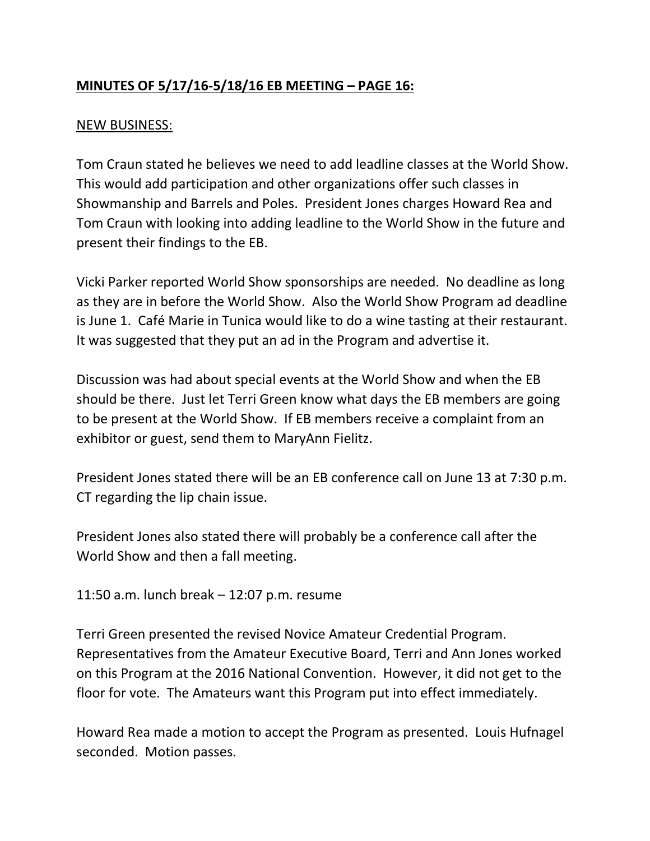# **MINUTES OF 5/17/16-5/18/16 EB MEETING – PAGE 16:**

#### NEW BUSINESS:

Tom Craun stated he believes we need to add leadline classes at the World Show. This would add participation and other organizations offer such classes in Showmanship and Barrels and Poles. President Jones charges Howard Rea and Tom Craun with looking into adding leadline to the World Show in the future and present their findings to the EB.

Vicki Parker reported World Show sponsorships are needed. No deadline as long as they are in before the World Show. Also the World Show Program ad deadline is June 1. Café Marie in Tunica would like to do a wine tasting at their restaurant. It was suggested that they put an ad in the Program and advertise it.

Discussion was had about special events at the World Show and when the EB should be there. Just let Terri Green know what days the EB members are going to be present at the World Show. If EB members receive a complaint from an exhibitor or guest, send them to MaryAnn Fielitz.

President Jones stated there will be an EB conference call on June 13 at 7:30 p.m. CT regarding the lip chain issue.

President Jones also stated there will probably be a conference call after the World Show and then a fall meeting.

11:50 a.m. lunch break – 12:07 p.m. resume

Terri Green presented the revised Novice Amateur Credential Program. Representatives from the Amateur Executive Board, Terri and Ann Jones worked on this Program at the 2016 National Convention. However, it did not get to the floor for vote. The Amateurs want this Program put into effect immediately.

Howard Rea made a motion to accept the Program as presented. Louis Hufnagel seconded. Motion passes.